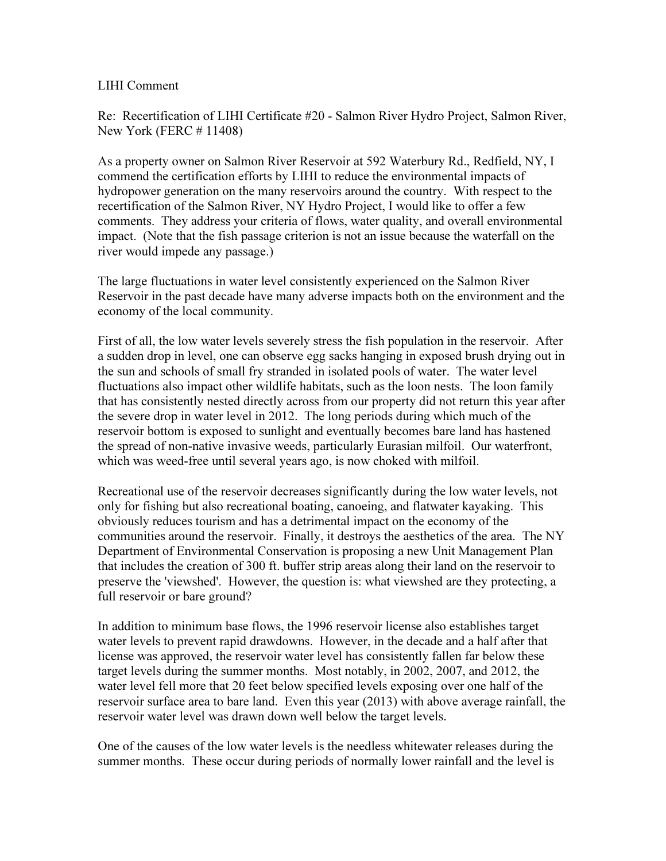## LIHI Comment

Re: Recertification of LIHI Certificate #20 - Salmon River Hydro Project, Salmon River, New York (FERC # 11408)

As a property owner on Salmon River Reservoir at 592 Waterbury Rd., Redfield, NY, I commend the certification efforts by LIHI to reduce the environmental impacts of hydropower generation on the many reservoirs around the country. With respect to the recertification of the Salmon River, NY Hydro Project, I would like to offer a few comments. They address your criteria of flows, water quality, and overall environmental impact. (Note that the fish passage criterion is not an issue because the waterfall on the river would impede any passage.)

The large fluctuations in water level consistently experienced on the Salmon River Reservoir in the past decade have many adverse impacts both on the environment and the economy of the local community.

First of all, the low water levels severely stress the fish population in the reservoir. After a sudden drop in level, one can observe egg sacks hanging in exposed brush drying out in the sun and schools of small fry stranded in isolated pools of water. The water level fluctuations also impact other wildlife habitats, such as the loon nests. The loon family that has consistently nested directly across from our property did not return this year after the severe drop in water level in 2012. The long periods during which much of the reservoir bottom is exposed to sunlight and eventually becomes bare land has hastened the spread of non-native invasive weeds, particularly Eurasian milfoil. Our waterfront, which was weed-free until several years ago, is now choked with milfoil.

Recreational use of the reservoir decreases significantly during the low water levels, not only for fishing but also recreational boating, canoeing, and flatwater kayaking. This obviously reduces tourism and has a detrimental impact on the economy of the communities around the reservoir. Finally, it destroys the aesthetics of the area. The NY Department of Environmental Conservation is proposing a new Unit Management Plan that includes the creation of 300 ft. buffer strip areas along their land on the reservoir to preserve the 'viewshed'. However, the question is: what viewshed are they protecting, a full reservoir or bare ground?

In addition to minimum base flows, the 1996 reservoir license also establishes target water levels to prevent rapid drawdowns. However, in the decade and a half after that license was approved, the reservoir water level has consistently fallen far below these target levels during the summer months. Most notably, in 2002, 2007, and 2012, the water level fell more that 20 feet below specified levels exposing over one half of the reservoir surface area to bare land. Even this year (2013) with above average rainfall, the reservoir water level was drawn down well below the target levels.

One of the causes of the low water levels is the needless whitewater releases during the summer months. These occur during periods of normally lower rainfall and the level is